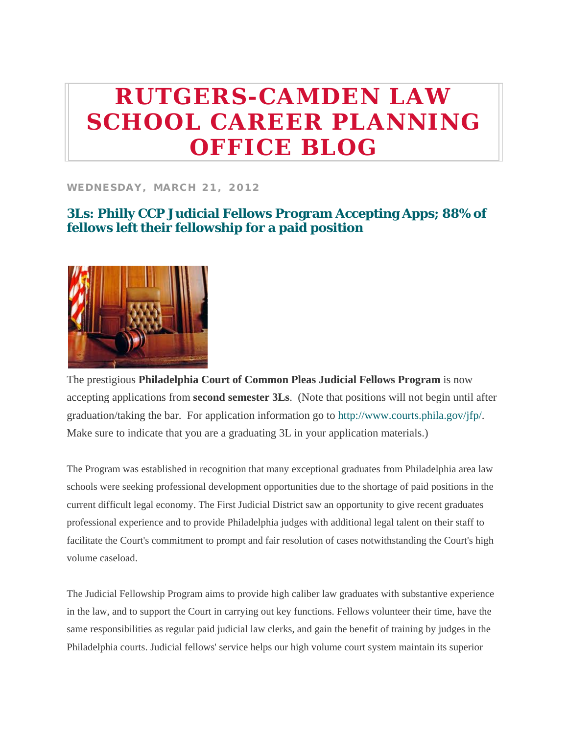# **RUTGERS-CAMDEN LAW SCHOOL CAREER PLANNING OFFICE BLOG**

#### **WEDNESDAY, MARCH 21, 2012**

# **3Ls: Philly CCP Judicial Fellows Program Accepting Apps; 88% of fellows left their fellowship for a paid position**



The prestigious **Philadelphia Court of Common Pleas Judicial Fellows Program** is now accepting applications from **second semester 3Ls**. (Note that positions will not begin until after graduation/taking the bar. For application information go to http://www.courts.phila.gov/jfp/. Make sure to indicate that you are a graduating 3L in your application materials.)

The Program was established in recognition that many exceptional graduates from Philadelphia area law schools were seeking professional development opportunities due to the shortage of paid positions in the current difficult legal economy. The First Judicial District saw an opportunity to give recent graduates professional experience and to provide Philadelphia judges with additional legal talent on their staff to facilitate the Court's commitment to prompt and fair resolution of cases notwithstanding the Court's high volume caseload.

The Judicial Fellowship Program aims to provide high caliber law graduates with substantive experience in the law, and to support the Court in carrying out key functions. Fellows volunteer their time, have the same responsibilities as regular paid judicial law clerks, and gain the benefit of training by judges in the Philadelphia courts. Judicial fellows' service helps our high volume court system maintain its superior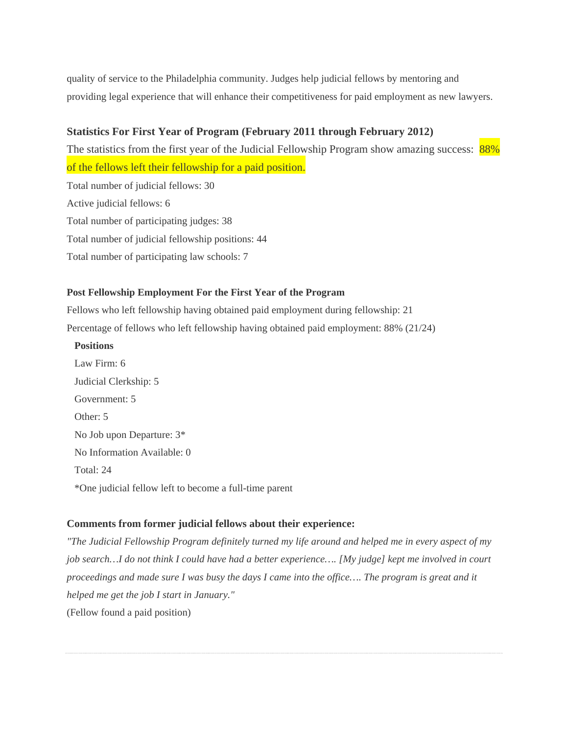quality of service to the Philadelphia community. Judges help judicial fellows by mentoring and providing legal experience that will enhance their competitiveness for paid employment as new lawyers.

## **Statistics For First Year of Program (February 2011 through February 2012)**

The statistics from the first year of the Judicial Fellowship Program show amazing success: 88% of the fellows left their fellowship for a paid position.

Total number of judicial fellows: 30 Active judicial fellows: 6 Total number of participating judges: 38 Total number of judicial fellowship positions: 44 Total number of participating law schools: 7

#### **Post Fellowship Employment For the First Year of the Program**

Fellows who left fellowship having obtained paid employment during fellowship: 21 Percentage of fellows who left fellowship having obtained paid employment: 88% (21/24)

#### **Positions**

 Law Firm: 6 Judicial Clerkship: 5 Government: 5 Other: 5 No Job upon Departure: 3\* No Information Available: 0 Total: 24 \*One judicial fellow left to become a full-time parent

### **Comments from former judicial fellows about their experience:**

*"The Judicial Fellowship Program definitely turned my life around and helped me in every aspect of my job search…I do not think I could have had a better experience…. [My judge] kept me involved in court proceedings and made sure I was busy the days I came into the office…. The program is great and it helped me get the job I start in January."* (Fellow found a paid position)